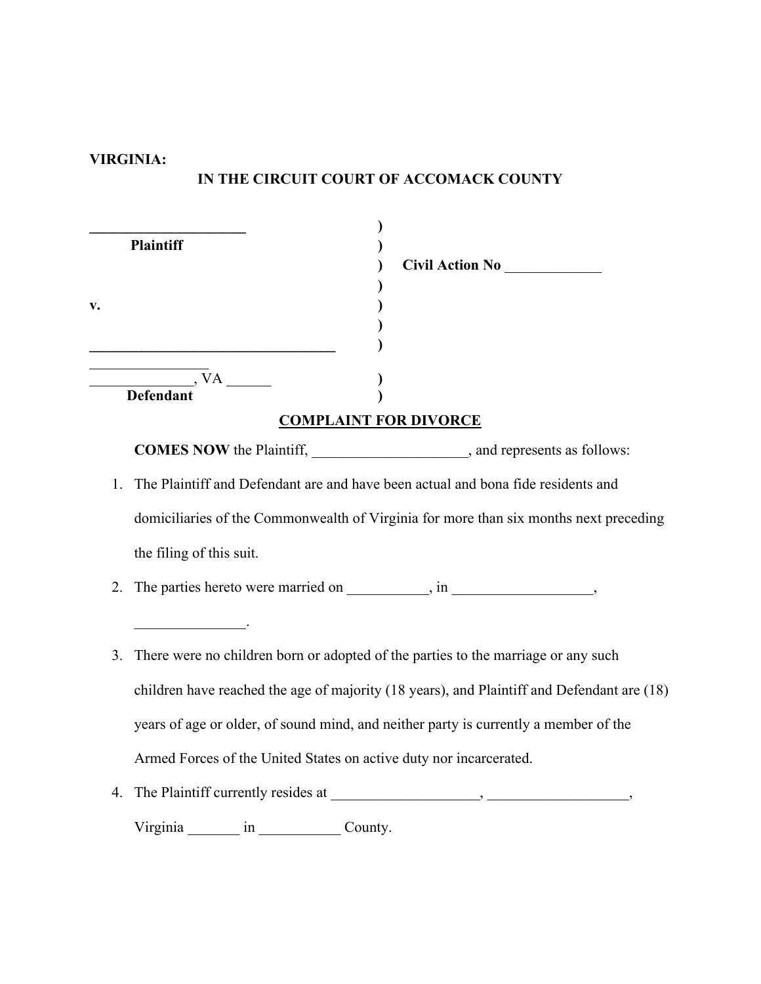## **VIRGINIA:**

## **IN THE CIRCUIT COURT OF ACCOMACK COUNTY**

|    | <b>Plaintiff</b><br>Civil Action No<br><u>Civil Action</u>                                 |
|----|--------------------------------------------------------------------------------------------|
| v. |                                                                                            |
|    |                                                                                            |
|    | <b>COMPLAINT FOR DIVORCE</b>                                                               |
|    | <b>COMES NOW</b> the Plaintiff, ______________________, and represents as follows:         |
| 1. | The Plaintiff and Defendant are and have been actual and bona fide residents and           |
|    | domiciliaries of the Commonwealth of Virginia for more than six months next preceding      |
|    | the filing of this suit.                                                                   |
| 2. |                                                                                            |
|    |                                                                                            |
| 3. | There were no children born or adopted of the parties to the marriage or any such          |
|    | children have reached the age of majority (18 years), and Plaintiff and Defendant are (18) |
|    | years of age or older, of sound mind, and neither party is currently a member of the       |
|    | Armed Forces of the United States on active duty nor incarcerated.                         |
| 4. |                                                                                            |
|    | Virginia in County.                                                                        |